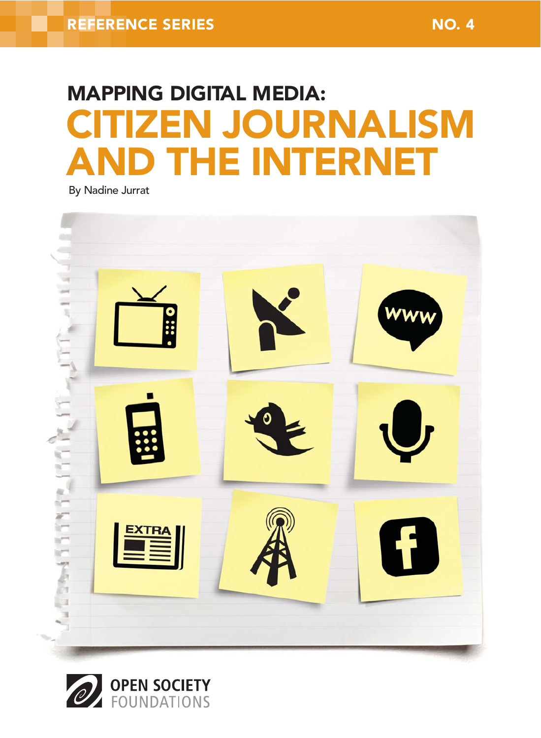# **IZEN JOURNALISM THE INTERNET** MAPPING DIGITAL MEDIA:

By Nadine Jurrat



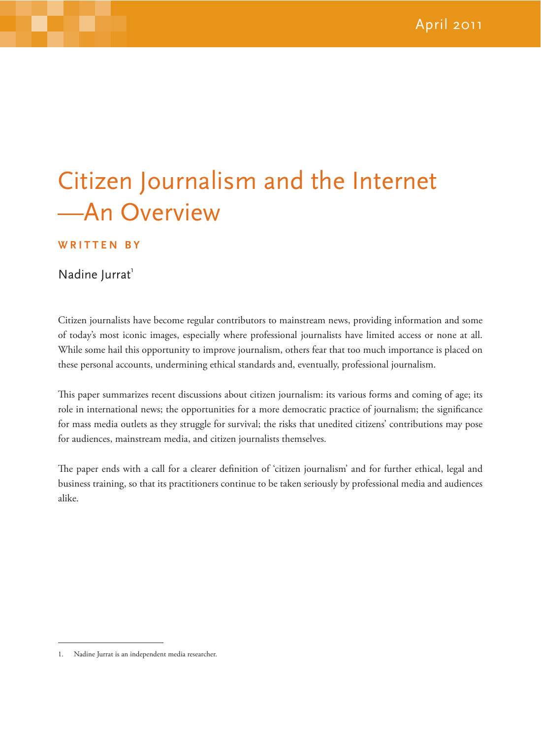## Citizen Journalism and the Internet —An Overview

#### **WRITTEN BY**

Nadine Jurrat<sup>1</sup>

Citizen journalists have become regular contributors to mainstream news, providing information and some of today's most iconic images, especially where professional journalists have limited access or none at all. While some hail this opportunity to improve journalism, others fear that too much importance is placed on these personal accounts, undermining ethical standards and, eventually, professional journalism.

This paper summarizes recent discussions about citizen journalism: its various forms and coming of age; its role in international news; the opportunities for a more democratic practice of journalism; the significance for mass media outlets as they struggle for survival; the risks that unedited citizens' contributions may pose for audiences, mainstream media, and citizen journalists themselves.

The paper ends with a call for a clearer definition of 'citizen journalism' and for further ethical, legal and business training, so that its practitioners continue to be taken seriously by professional media and audiences alike.

<sup>1.</sup> Nadine Jurrat is an independent media researcher.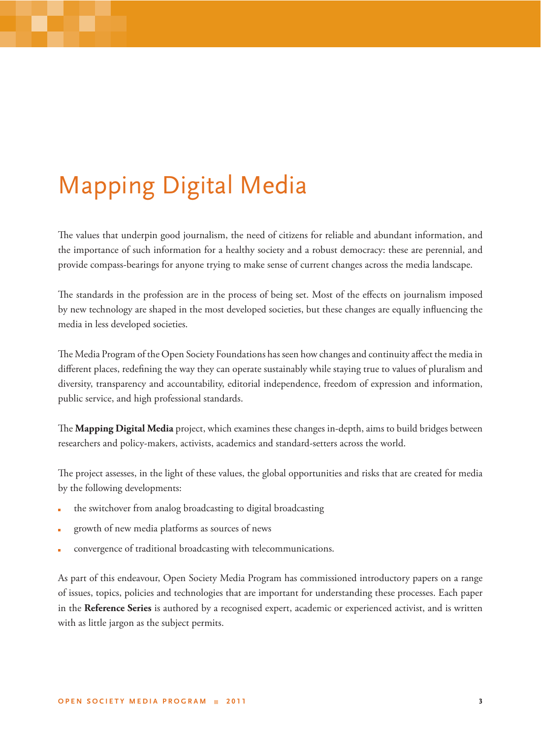## Mapping Digital Media

The values that underpin good journalism, the need of citizens for reliable and abundant information, and the importance of such information for a healthy society and a robust democracy: these are perennial, and provide compass-bearings for anyone trying to make sense of current changes across the media landscape.

The standards in the profession are in the process of being set. Most of the effects on journalism imposed by new technology are shaped in the most developed societies, but these changes are equally influencing the media in less developed societies.

The Media Program of the Open Society Foundations has seen how changes and continuity affect the media in different places, redefining the way they can operate sustainably while staying true to values of pluralism and diversity, transparency and accountability, editorial independence, freedom of expression and information, public service, and high professional standards.

The Mapping Digital Media project, which examines these changes in-depth, aims to build bridges between researchers and policy-makers, activists, academics and standard-setters across the world.

The project assesses, in the light of these values, the global opportunities and risks that are created for media by the following developments:

- the switchover from analog broadcasting to digital broadcasting
- growth of new media platforms as sources of news
- convergence of traditional broadcasting with telecommunications.

As part of this endeavour, Open Society Media Program has commissioned introductory papers on a range of issues, topics, policies and technologies that are important for understanding these processes. Each paper in the **Reference Series** is authored by a recognised expert, academic or experienced activist, and is written with as little jargon as the subject permits.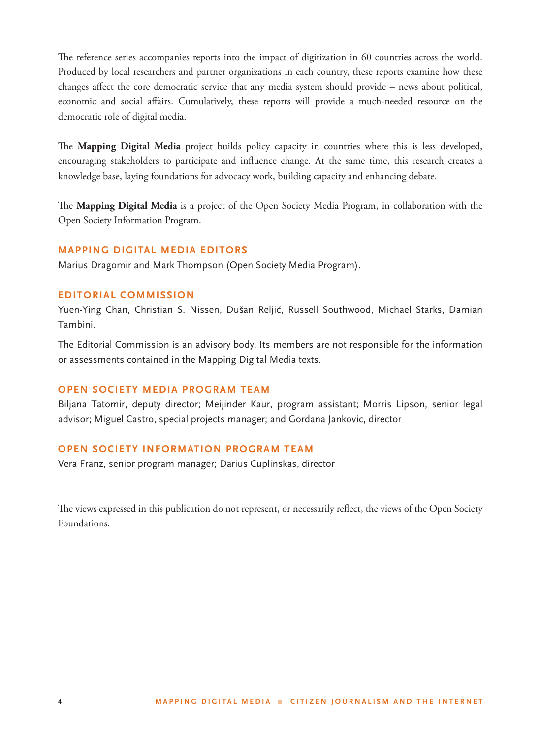The reference series accompanies reports into the impact of digitization in 60 countries across the world. Produced by local researchers and partner organizations in each country, these reports examine how these changes affect the core democratic service that any media system should provide – news about political, economic and social affairs. Cumulatively, these reports will provide a much-needed resource on the democratic role of digital media.

The Mapping Digital Media project builds policy capacity in countries where this is less developed, encouraging stakeholders to participate and influence change. At the same time, this research creates a knowledge base, laying foundations for advocacy work, building capacity and enhancing debate.

The **Mapping Digital Media** is a project of the Open Society Media Program, in collaboration with the Open Society Information Program.

#### **MAPPING DIGITAL MEDIA EDITORS**

Marius Dragomir and Mark Thompson (Open Society Media Program).

#### **EDITORIAL COMMISSION**

Yuen-Ying Chan, Christian S. Nissen, Dušan Reljić, Russell Southwood, Michael Starks, Damian Tambini.

The Editorial Commission is an advisory body. Its members are not responsible for the information or assessments contained in the Mapping Digital Media texts.

#### **OPEN SOCIETY MEDIA PROGRAM TEAM**

Biljana Tatomir, deputy director; Meijinder Kaur, program assistant; Morris Lipson, senior legal advisor; Miguel Castro, special projects manager; and Gordana Jankovic, director

#### **OPEN SOCIETY INFORMATION PROGRAM TEAM**

Vera Franz, senior program manager; Darius Cuplinskas, director

The views expressed in this publication do not represent, or necessarily reflect, the views of the Open Society Foundations.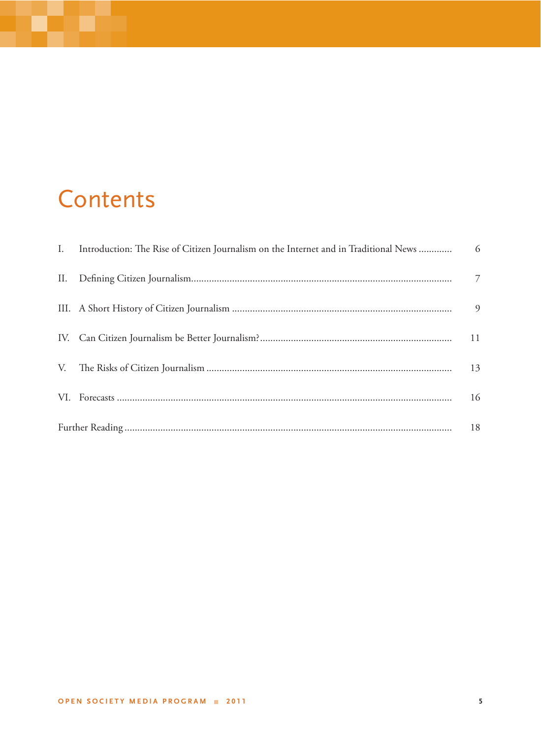### Contents

أكتر

|  | I. Introduction: The Rise of Citizen Journalism on the Internet and in Traditional News  6 |                |
|--|--------------------------------------------------------------------------------------------|----------------|
|  |                                                                                            | $\overline{7}$ |
|  |                                                                                            | 9              |
|  |                                                                                            | 11             |
|  |                                                                                            | 13             |
|  |                                                                                            | 16             |
|  |                                                                                            |                |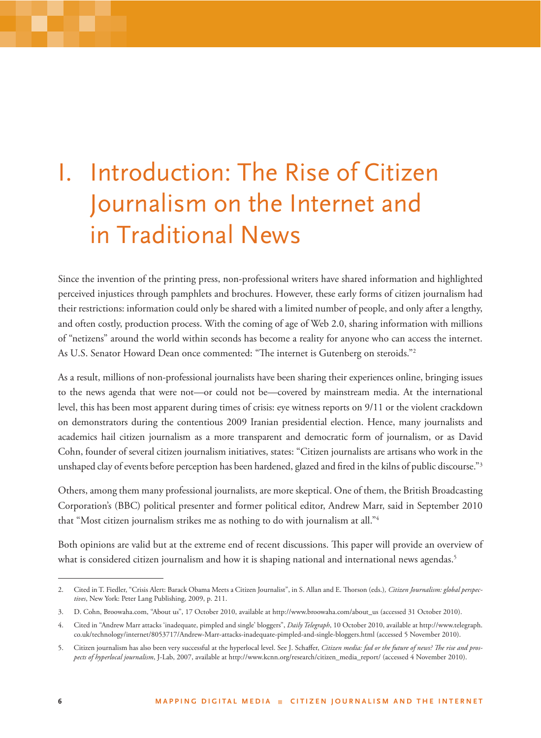## I. Introduction: The Rise of Citizen Journalism on the Internet and in Traditional News

Since the invention of the printing press, non-professional writers have shared information and highlighted perceived injustices through pamphlets and brochures. However, these early forms of citizen journalism had their restrictions: information could only be shared with a limited number of people, and only after a lengthy, and often costly, production process. With the coming of age of Web 2.0, sharing information with millions of "netizens" around the world within seconds has become a reality for anyone who can access the internet. As U.S. Senator Howard Dean once commented: "The internet is Gutenberg on steroids."<sup>2</sup>

As a result, millions of non-professional journalists have been sharing their experiences online, bringing issues to the news agenda that were not—or could not be—covered by mainstream media. At the international level, this has been most apparent during times of crisis: eye witness reports on 9/11 or the violent crackdown on demonstrators during the contentious 2009 Iranian presidential election. Hence, many journalists and academics hail citizen journalism as a more transparent and democratic form of journalism, or as David Cohn, founder of several citizen journalism initiatives, states: "Citizen journalists are artisans who work in the unshaped clay of events before perception has been hardened, glazed and fired in the kilns of public discourse."<sup>3</sup>

Others, among them many professional journalists, are more skeptical. One of them, the British Broadcasting Corporation's (BBC) political presenter and former political editor, Andrew Marr, said in September 2010 that "Most citizen journalism strikes me as nothing to do with journalism at all."4

Both opinions are valid but at the extreme end of recent discussions. This paper will provide an overview of what is considered citizen journalism and how it is shaping national and international news agendas.<sup>5</sup>

<sup>2.</sup> Cited in T. Fiedler, "Crisis Alert: Barack Obama Meets a Citizen Journalist", in S. Allan and E. Thorson (eds.), Citizen Journalism: global perspec*tives*, New York: Peter Lang Publishing, 2009, p. 211.

<sup>3.</sup> D. Cohn, Broowaha.com, "About us", 17 October 2010, available at http://www.broowaha.com/about\_us (accessed 31 October 2010).

<sup>4.</sup> Cited in "Andrew Marr attacks 'inadequate, pimpled and single' bloggers", *Daily Telegraph*, 10 October 2010, available at http://www.telegraph. co.uk/technology/internet/8053717/Andrew-Marr-attacks-inadequate-pimpled-and-single-bloggers.html (accessed 5 November 2010).

<sup>5.</sup> Citizen journalism has also been very successful at the hyperlocal level. See J. Schaffer, Citizen media: fad or the future of news? The rise and pros*pects of hyperlocal journalism*, J-Lab, 2007, available at http://www.kcnn.org/research/citizen\_media\_report/ (accessed 4 November 2010).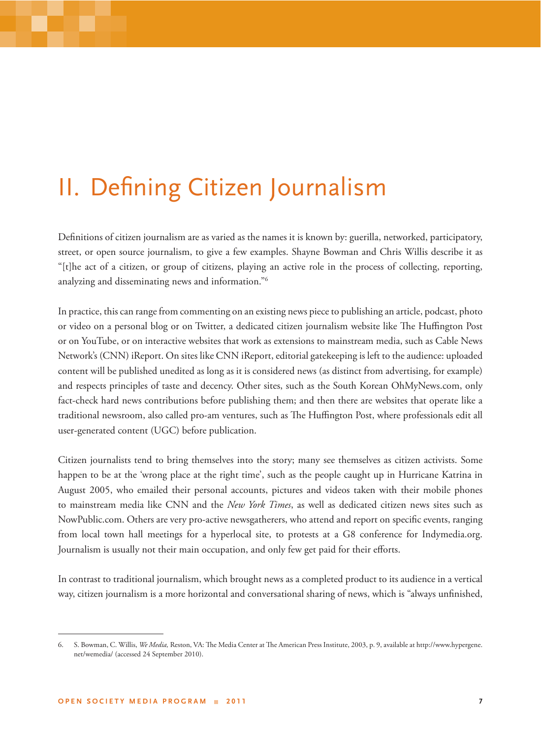### II. Defining Citizen Journalism

Definitions of citizen journalism are as varied as the names it is known by: guerilla, networked, participatory, street, or open source journalism, to give a few examples. Shayne Bowman and Chris Willis describe it as "[t]he act of a citizen, or group of citizens, playing an active role in the process of collecting, reporting, analyzing and disseminating news and information."6

In practice, this can range from commenting on an existing news piece to publishing an article, podcast, photo or video on a personal blog or on Twitter, a dedicated citizen journalism website like The Huffington Post or on YouTube, or on interactive websites that work as extensions to mainstream media, such as Cable News Network's (CNN) iReport. On sites like CNN iReport, editorial gatekeeping is left to the audience: uploaded content will be published unedited as long as it is considered news (as distinct from advertising, for example) and respects principles of taste and decency. Other sites, such as the South Korean OhMyNews.com, only fact-check hard news contributions before publishing them; and then there are websites that operate like a traditional newsroom, also called pro-am ventures, such as The Huffington Post, where professionals edit all user-generated content (UGC) before publication.

Citizen journalists tend to bring themselves into the story; many see themselves as citizen activists. Some happen to be at the 'wrong place at the right time', such as the people caught up in Hurricane Katrina in August 2005, who emailed their personal accounts, pictures and videos taken with their mobile phones to mainstream media like CNN and the *New York Times*, as well as dedicated citizen news sites such as NowPublic.com. Others are very pro-active newsgatherers, who attend and report on specific events, ranging from local town hall meetings for a hyperlocal site, to protests at a G8 conference for Indymedia.org. Journalism is usually not their main occupation, and only few get paid for their efforts.

In contrast to traditional journalism, which brought news as a completed product to its audience in a vertical way, citizen journalism is a more horizontal and conversational sharing of news, which is "always unfinished,

<sup>6.</sup> S. Bowman, C. Willis, *We Media*, Reston, VA: The Media Center at The American Press Institute, 2003, p. 9, available at http://www.hypergene. net/wemedia/ (accessed 24 September 2010).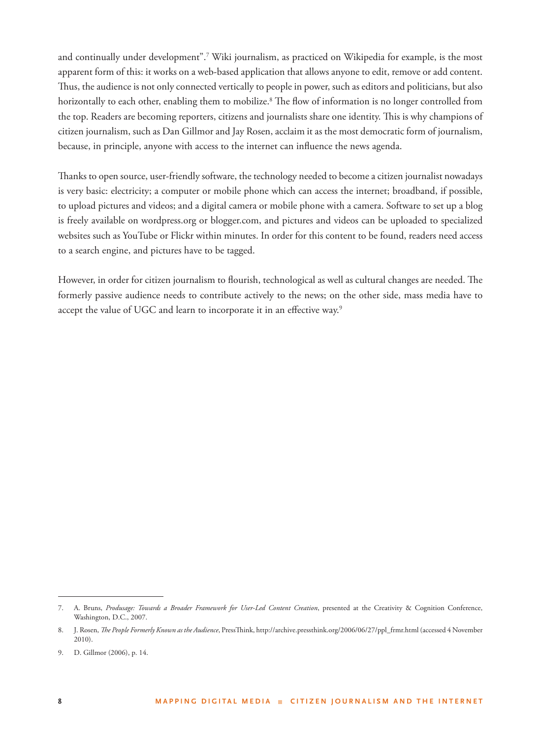and continually under development".<sup>7</sup> Wiki journalism, as practiced on Wikipedia for example, is the most apparent form of this: it works on a web-based application that allows anyone to edit, remove or add content. Thus, the audience is not only connected vertically to people in power, such as editors and politicians, but also horizontally to each other, enabling them to mobilize.<sup>8</sup> The flow of information is no longer controlled from the top. Readers are becoming reporters, citizens and journalists share one identity. This is why champions of citizen journalism, such as Dan Gillmor and Jay Rosen, acclaim it as the most democratic form of journalism, because, in principle, anyone with access to the internet can influence the news agenda.

Thanks to open source, user-friendly software, the technology needed to become a citizen journalist nowadays is very basic: electricity; a computer or mobile phone which can access the internet; broadband, if possible, to upload pictures and videos; and a digital camera or mobile phone with a camera. Software to set up a blog is freely available on wordpress.org or blogger.com, and pictures and videos can be uploaded to specialized websites such as YouTube or Flickr within minutes. In order for this content to be found, readers need access to a search engine, and pictures have to be tagged.

However, in order for citizen journalism to flourish, technological as well as cultural changes are needed. The formerly passive audience needs to contribute actively to the news; on the other side, mass media have to accept the value of UGC and learn to incorporate it in an effective way.<sup>9</sup>

<sup>7.</sup> A. Bruns, *Produsage: Towards a Broader Framework for User-Led Content Creation*, presented at the Creativity & Cognition Conference, Washington, D.C., 2007.

<sup>8.</sup> J. Rosen, *The People Formerly Known as the Audience*, PressThink, http://archive.pressthink.org/2006/06/27/ppl\_frmr.html (accessed 4 November 2010).

<sup>9.</sup> D. Gillmor (2006), p. 14.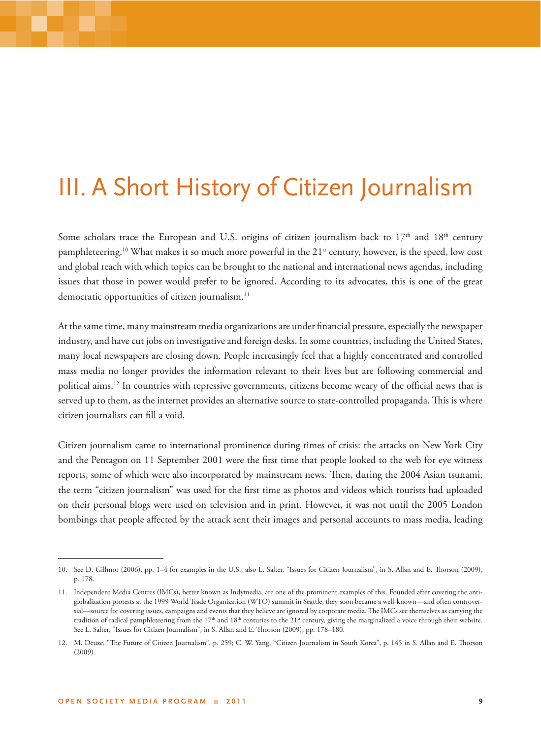### III. A Short History of Citizen Journalism

Some scholars trace the European and U.S. origins of citizen journalism back to 17<sup>th</sup> and 18<sup>th</sup> century pamphleteering.<sup>10</sup> What makes it so much more powerful in the 21<sup>st</sup> century, however, is the speed, low cost and global reach with which topics can be brought to the national and international news agendas, including issues that those in power would prefer to be ignored. According to its advocates, this is one of the great democratic opportunities of citizen journalism.<sup>11</sup>

At the same time, many mainstream media organizations are under financial pressure, especially the newspaper industry, and have cut jobs on investigative and foreign desks. In some countries, including the United States, many local newspapers are closing down. People increasingly feel that a highly concentrated and controlled mass media no longer provides the information relevant to their lives but are following commercial and political aims.<sup>12</sup> In countries with repressive governments, citizens become weary of the official news that is served up to them, as the internet provides an alternative source to state-controlled propaganda. This is where citizen journalists can fill a void.

Citizen journalism came to international prominence during times of crisis: the attacks on New York City and the Pentagon on 11 September 2001 were the first time that people looked to the web for eye witness reports, some of which were also incorporated by mainstream news. Then, during the 2004 Asian tsunami, the term "citizen journalism" was used for the first time as photos and videos which tourists had uploaded on their personal blogs were used on television and in print. However, it was not until the 2005 London bombings that people affected by the attack sent their images and personal accounts to mass media, leading

<sup>10.</sup> See D. Gillmor (2006), pp. 1-4 for examples in the U.S.; also L. Salter, "Issues for Citizen Journalism", in S. Allan and E. Thorson (2009), p. 178.

<sup>11.</sup> Independent Media Centres (IMCs), better known as Indymedia, are one of the prominent examples of this. Founded after covering the antiglobalization protests at the 1999 World Trade Organization (WTO) summit in Seattle, they soon became a well-known—and often controversial—source for covering issues, campaigns and events that they believe are ignored by corporate media. The IMCs see themselves as carrying the tradition of radical pamphleteering from the 17<sup>th</sup> and 18<sup>th</sup> centuries to the 21<sup>st</sup> century, giving the marginalized a voice through their website. See L. Salter, "Issues for Citizen Journalism", in S. Allan and E. Thorson (2009), pp. 178–180.

<sup>12.</sup> M. Deuze, "The Future of Citizen Journalism", p. 259; C. W. Yang, "Citizen Journalism in South Korea", p. 145 in S. Allan and E. Thorson (2009).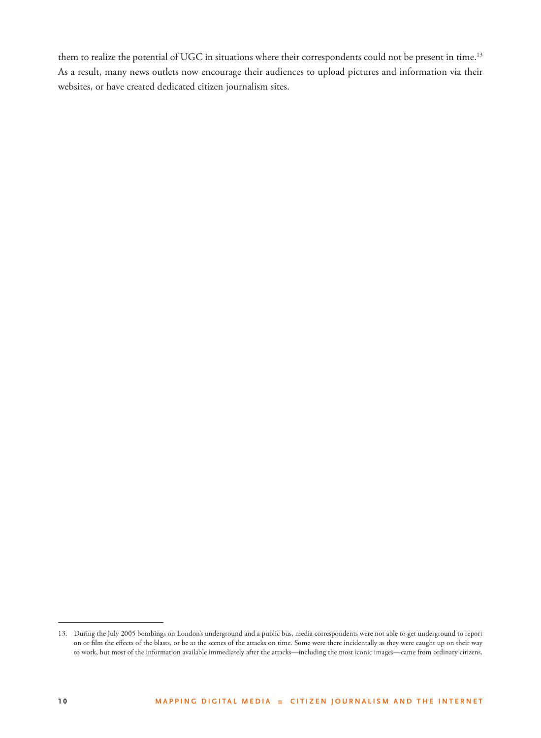them to realize the potential of UGC in situations where their correspondents could not be present in time.<sup>13</sup> As a result, many news outlets now encourage their audiences to upload pictures and information via their websites, or have created dedicated citizen journalism sites.

<sup>13.</sup> During the July 2005 bombings on London's underground and a public bus, media correspondents were not able to get underground to report on or film the effects of the blasts, or be at the scenes of the attacks on time. Some were there incidentally as they were caught up on their way to work, but most of the information available immediately after the attacks—including the most iconic images—came from ordinary citizens.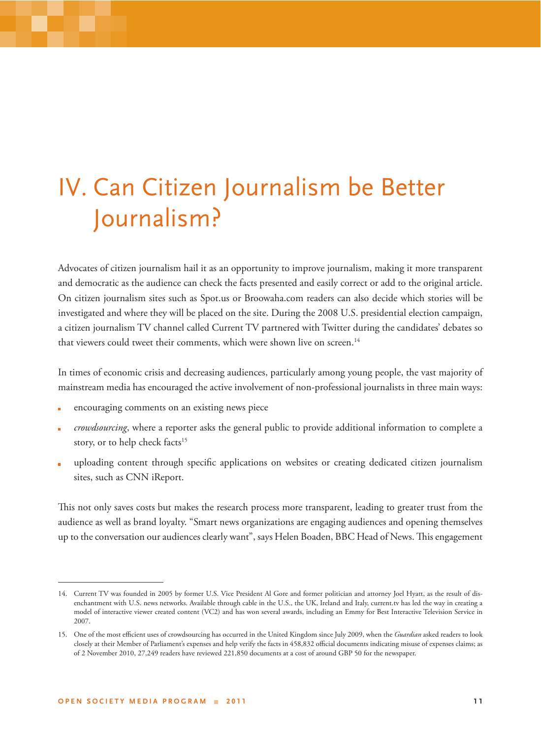## IV. Can Citizen Journalism be Better Journalism?

Advocates of citizen journalism hail it as an opportunity to improve journalism, making it more transparent and democratic as the audience can check the facts presented and easily correct or add to the original article. On citizen journalism sites such as Spot.us or Broowaha.com readers can also decide which stories will be investigated and where they will be placed on the site. During the 2008 U.S. presidential election campaign, a citizen journalism TV channel called Current TV partnered with Twitter during the candidates' debates so that viewers could tweet their comments, which were shown live on screen.<sup>14</sup>

In times of economic crisis and decreasing audiences, particularly among young people, the vast majority of mainstream media has encouraged the active involvement of non-professional journalists in three main ways:

- encouraging comments on an existing news piece
- *crowdsourcing*, where a reporter asks the general public to provide additional information to complete a story, or to help check facts<sup>15</sup>
- uploading content through specifi c applications on websites or creating dedicated citizen journalism sites, such as CNN iReport.

This not only saves costs but makes the research process more transparent, leading to greater trust from the audience as well as brand loyalty. "Smart news organizations are engaging audiences and opening themselves up to the conversation our audiences clearly want", says Helen Boaden, BBC Head of News. ! is engagement

<sup>14.</sup> Current TV was founded in 2005 by former U.S. Vice President Al Gore and former politician and attorney Joel Hyatt, as the result of disenchantment with U.S. news networks. Available through cable in the U.S., the UK, Ireland and Italy, current.tv has led the way in creating a model of interactive viewer created content (VC2) and has won several awards, including an Emmy for Best Interactive Television Service in 2007.

<sup>15.</sup> One of the most efficient uses of crowdsourcing has occurred in the United Kingdom since July 2009, when the Guardian asked readers to look closely at their Member of Parliament's expenses and help verify the facts in 458,832 official documents indicating misuse of expenses claims; as of 2 November 2010, 27,249 readers have reviewed 221,850 documents at a cost of around GBP 50 for the newspaper.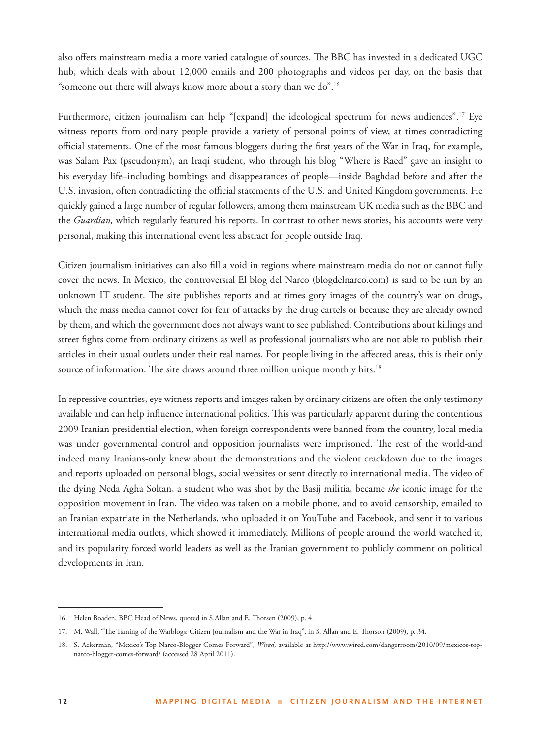also offers mainstream media a more varied catalogue of sources. The BBC has invested in a dedicated UGC hub, which deals with about 12,000 emails and 200 photographs and videos per day, on the basis that "someone out there will always know more about a story than we do".16

Furthermore, citizen journalism can help "[expand] the ideological spectrum for news audiences".17 Eye witness reports from ordinary people provide a variety of personal points of view, at times contradicting official statements. One of the most famous bloggers during the first years of the War in Iraq, for example, was Salam Pax (pseudonym), an Iraqi student, who through his blog "Where is Raed" gave an insight to his everyday life–including bombings and disappearances of people—inside Baghdad before and after the U.S. invasion, often contradicting the official statements of the U.S. and United Kingdom governments. He quickly gained a large number of regular followers, among them mainstream UK media such as the BBC and the *Guardian,* which regularly featured his reports. In contrast to other news stories, his accounts were very personal, making this international event less abstract for people outside Iraq.

Citizen journalism initiatives can also fill a void in regions where mainstream media do not or cannot fully cover the news. In Mexico, the controversial El blog del Narco (blogdelnarco.com) is said to be run by an unknown IT student. The site publishes reports and at times gory images of the country's war on drugs, which the mass media cannot cover for fear of attacks by the drug cartels or because they are already owned by them, and which the government does not always want to see published. Contributions about killings and street fights come from ordinary citizens as well as professional journalists who are not able to publish their articles in their usual outlets under their real names. For people living in the affected areas, this is their only source of information. The site draws around three million unique monthly hits.<sup>18</sup>

In repressive countries, eye witness reports and images taken by ordinary citizens are often the only testimony available and can help influence international politics. This was particularly apparent during the contentious 2009 Iranian presidential election, when foreign correspondents were banned from the country, local media was under governmental control and opposition journalists were imprisoned. The rest of the world-and indeed many Iranians-only knew about the demonstrations and the violent crackdown due to the images and reports uploaded on personal blogs, social websites or sent directly to international media. The video of the dying Neda Agha Soltan, a student who was shot by the Basij militia, became *the* iconic image for the opposition movement in Iran. The video was taken on a mobile phone, and to avoid censorship, emailed to an Iranian expatriate in the Netherlands, who uploaded it on YouTube and Facebook, and sent it to various international media outlets, which showed it immediately. Millions of people around the world watched it, and its popularity forced world leaders as well as the Iranian government to publicly comment on political developments in Iran.

<sup>16.</sup> Helen Boaden, BBC Head of News, quoted in S.Allan and E. Thorsen (2009), p. 4.

<sup>17.</sup> M. Wall, "The Taming of the Warblogs: Citizen Journalism and the War in Iraq", in S. Allan and E. Thorson (2009), p. 34.

<sup>18.</sup> S. Ackerman, "Mexico's Top Narco-Blogger Comes Forward", *Wired*, available at http://www.wired.com/dangerroom/2010/09/mexicos-topnarco-blogger-comes-forward/ (accessed 28 April 2011).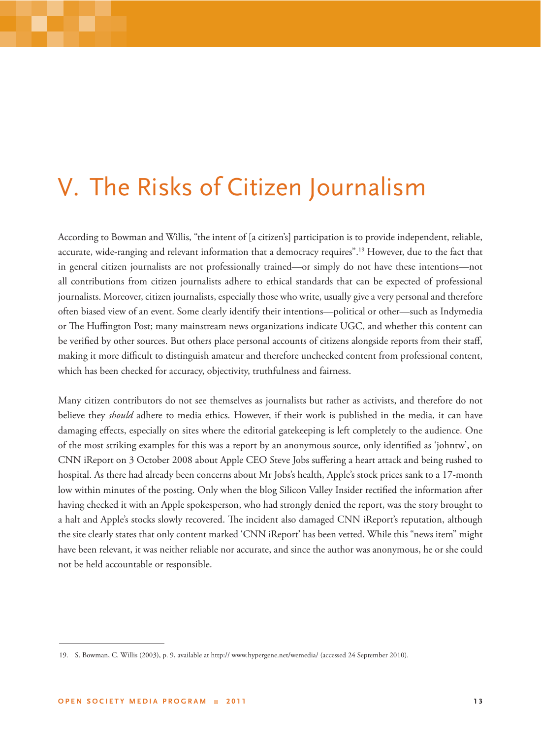### V. The Risks of Citizen Journalism

According to Bowman and Willis, "the intent of [a citizen's] participation is to provide independent, reliable, accurate, wide-ranging and relevant information that a democracy requires".19 However, due to the fact that in general citizen journalists are not professionally trained—or simply do not have these intentions—not all contributions from citizen journalists adhere to ethical standards that can be expected of professional journalists. Moreover, citizen journalists, especially those who write, usually give a very personal and therefore often biased view of an event. Some clearly identify their intentions—political or other—such as Indymedia or The Huffington Post; many mainstream news organizations indicate UGC, and whether this content can be verified by other sources. But others place personal accounts of citizens alongside reports from their staff, making it more difficult to distinguish amateur and therefore unchecked content from professional content, which has been checked for accuracy, objectivity, truthfulness and fairness.

Many citizen contributors do not see themselves as journalists but rather as activists, and therefore do not believe they *should* adhere to media ethics. However, if their work is published in the media, it can have damaging effects, especially on sites where the editorial gatekeeping is left completely to the audience. One of the most striking examples for this was a report by an anonymous source, only identified as 'johntw', on CNN iReport on 3 October 2008 about Apple CEO Steve Jobs suffering a heart attack and being rushed to hospital. As there had already been concerns about Mr Jobs's health, Apple's stock prices sank to a 17-month low within minutes of the posting. Only when the blog Silicon Valley Insider rectified the information after having checked it with an Apple spokesperson, who had strongly denied the report, was the story brought to a halt and Apple's stocks slowly recovered. The incident also damaged CNN iReport's reputation, although the site clearly states that only content marked 'CNN iReport' has been vetted. While this "news item" might have been relevant, it was neither reliable nor accurate, and since the author was anonymous, he or she could not be held accountable or responsible.

<sup>19.</sup> S. Bowman, C. Willis (2003), p. 9, available at http:// www.hypergene.net/wemedia/ (accessed 24 September 2010).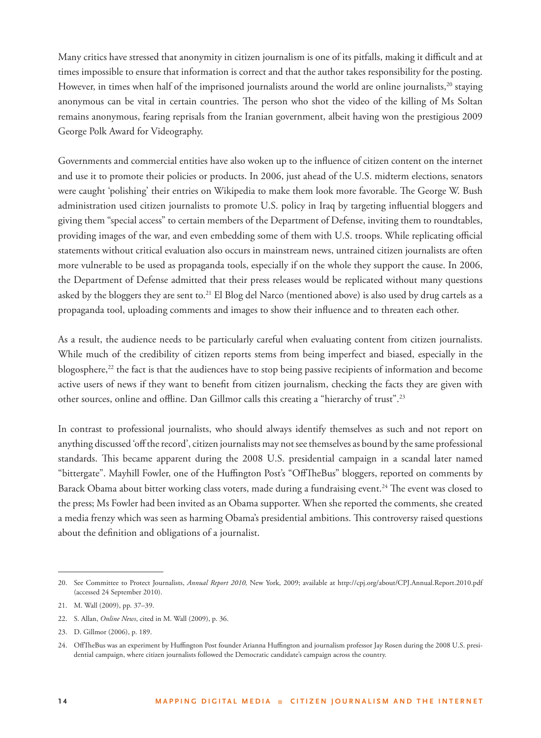Many critics have stressed that anonymity in citizen journalism is one of its pitfalls, making it difficult and at times impossible to ensure that information is correct and that the author takes responsibility for the posting. However, in times when half of the imprisoned journalists around the world are online journalists, $^{20}$  staying anonymous can be vital in certain countries. The person who shot the video of the killing of Ms Soltan remains anonymous, fearing reprisals from the Iranian government, albeit having won the prestigious 2009 George Polk Award for Videography.

Governments and commercial entities have also woken up to the influence of citizen content on the internet and use it to promote their policies or products. In 2006, just ahead of the U.S. midterm elections, senators were caught 'polishing' their entries on Wikipedia to make them look more favorable. The George W. Bush administration used citizen journalists to promote U.S. policy in Iraq by targeting influential bloggers and giving them "special access" to certain members of the Department of Defense, inviting them to roundtables, providing images of the war, and even embedding some of them with U.S. troops. While replicating official statements without critical evaluation also occurs in mainstream news, untrained citizen journalists are often more vulnerable to be used as propaganda tools, especially if on the whole they support the cause. In 2006, the Department of Defense admitted that their press releases would be replicated without many questions asked by the bloggers they are sent to.21 El Blog del Narco (mentioned above) is also used by drug cartels as a propaganda tool, uploading comments and images to show their influence and to threaten each other.

As a result, the audience needs to be particularly careful when evaluating content from citizen journalists. While much of the credibility of citizen reports stems from being imperfect and biased, especially in the blogosphere,<sup>22</sup> the fact is that the audiences have to stop being passive recipients of information and become active users of news if they want to benefit from citizen journalism, checking the facts they are given with other sources, online and offline. Dan Gillmor calls this creating a "hierarchy of trust".<sup>23</sup>

In contrast to professional journalists, who should always identify themselves as such and not report on anything discussed 'off the record', citizen journalists may not see themselves as bound by the same professional standards. This became apparent during the 2008 U.S. presidential campaign in a scandal later named "bittergate". Mayhill Fowler, one of the Huffington Post's "OffTheBus" bloggers, reported on comments by Barack Obama about bitter working class voters, made during a fundraising event.<sup>24</sup> The event was closed to the press; Ms Fowler had been invited as an Obama supporter. When she reported the comments, she created a media frenzy which was seen as harming Obama's presidential ambitions. This controversy raised questions about the definition and obligations of a journalist.

<sup>20.</sup> See Committee to Protect Journalists, *Annual Report 2010,* New York, 2009; available at http://cpj.org/about/CPJ.Annual.Report.2010.pdf (accessed 24 September 2010).

<sup>21.</sup> M. Wall (2009), pp. 37–39.

<sup>22.</sup> S. Allan, *Online News*, cited in M. Wall (2009), p. 36.

<sup>23.</sup> D. Gillmor (2006), p. 189.

<sup>24.</sup> OffTheBus was an experiment by Huffington Post founder Arianna Huffington and journalism professor Jay Rosen during the 2008 U.S. presidential campaign, where citizen journalists followed the Democratic candidate's campaign across the country.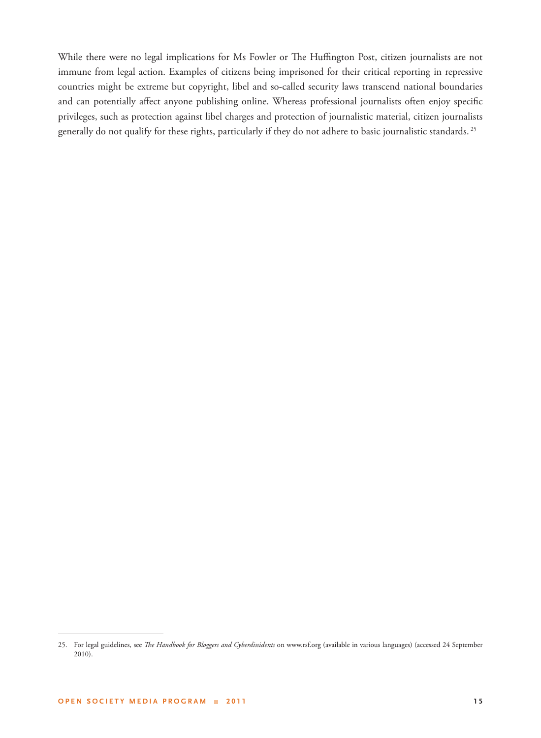While there were no legal implications for Ms Fowler or The Huffington Post, citizen journalists are not immune from legal action. Examples of citizens being imprisoned for their critical reporting in repressive countries might be extreme but copyright, libel and so-called security laws transcend national boundaries and can potentially affect anyone publishing online. Whereas professional journalists often enjoy specific privileges, such as protection against libel charges and protection of journalistic material, citizen journalists generally do not qualify for these rights, particularly if they do not adhere to basic journalistic standards. 25

<sup>25.</sup> For legal guidelines, see *The Handbook for Bloggers and Cyberdissidents* on www.rsf.org (available in various languages) (accessed 24 September 2010).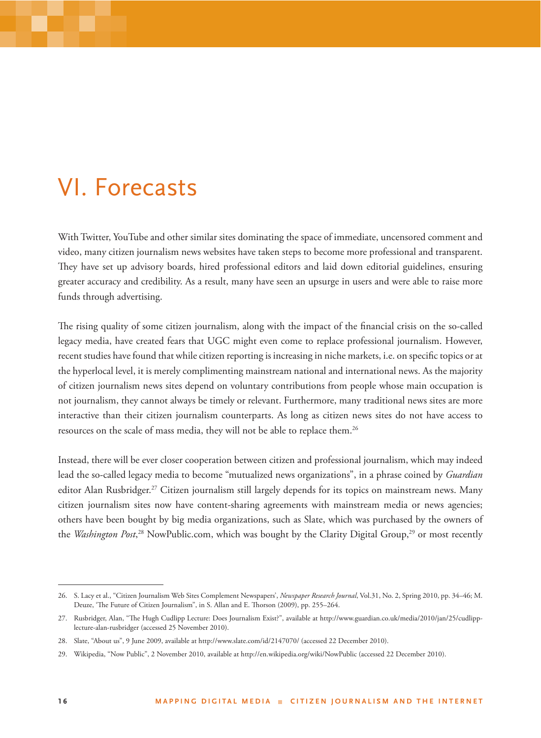### VI. Forecasts

With Twitter, YouTube and other similar sites dominating the space of immediate, uncensored comment and video, many citizen journalism news websites have taken steps to become more professional and transparent. They have set up advisory boards, hired professional editors and laid down editorial guidelines, ensuring greater accuracy and credibility. As a result, many have seen an upsurge in users and were able to raise more funds through advertising.

The rising quality of some citizen journalism, along with the impact of the financial crisis on the so-called legacy media, have created fears that UGC might even come to replace professional journalism. However, recent studies have found that while citizen reporting is increasing in niche markets, i.e. on specific topics or at the hyperlocal level, it is merely complimenting mainstream national and international news. As the majority of citizen journalism news sites depend on voluntary contributions from people whose main occupation is not journalism, they cannot always be timely or relevant. Furthermore, many traditional news sites are more interactive than their citizen journalism counterparts. As long as citizen news sites do not have access to resources on the scale of mass media, they will not be able to replace them.<sup>26</sup>

Instead, there will be ever closer cooperation between citizen and professional journalism, which may indeed lead the so-called legacy media to become "mutualized news organizations", in a phrase coined by *Guardian* editor Alan Rusbridger.<sup>27</sup> Citizen journalism still largely depends for its topics on mainstream news. Many citizen journalism sites now have content-sharing agreements with mainstream media or news agencies; others have been bought by big media organizations, such as Slate, which was purchased by the owners of the *Washington Post*,<sup>28</sup> NowPublic.com, which was bought by the Clarity Digital Group,<sup>29</sup> or most recently

<sup>26.</sup> S. Lacy et al., "Citizen Journalism Web Sites Complement Newspapers', *Newspaper Research Journal*, Vol.31, No. 2, Spring 2010, pp. 34–46; M. Deuze, 'The Future of Citizen Journalism", in S. Allan and E. Thorson (2009), pp. 255-264.

<sup>27.</sup> Rusbridger, Alan, "The Hugh Cudlipp Lecture: Does Journalism Exist?", available at http://www.guardian.co.uk/media/2010/jan/25/cudlipplecture-alan-rusbridger (accessed 25 November 2010).

<sup>28.</sup> Slate, "About us", 9 June 2009, available at http://www.slate.com/id/2147070/ (accessed 22 December 2010).

<sup>29.</sup> Wikipedia, "Now Public", 2 November 2010, available at http://en.wikipedia.org/wiki/NowPublic (accessed 22 December 2010).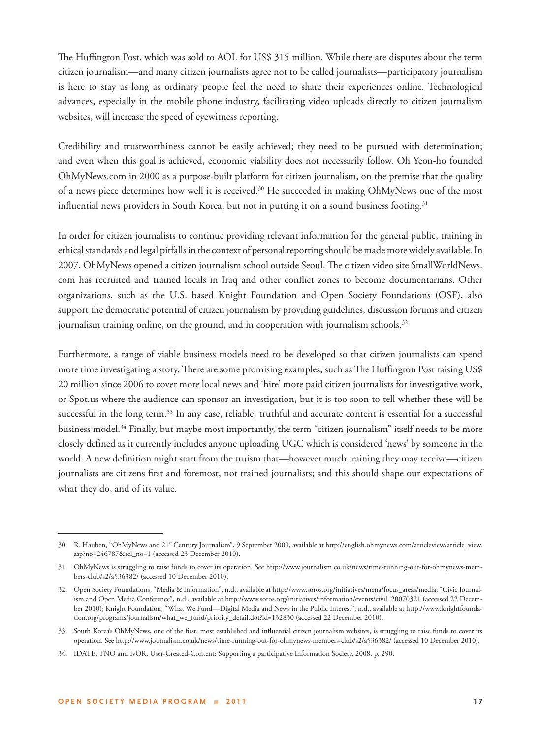The Huffington Post, which was sold to AOL for US\$ 315 million. While there are disputes about the term citizen journalism—and many citizen journalists agree not to be called journalists—participatory journalism is here to stay as long as ordinary people feel the need to share their experiences online. Technological advances, especially in the mobile phone industry, facilitating video uploads directly to citizen journalism websites, will increase the speed of eyewitness reporting.

Credibility and trustworthiness cannot be easily achieved; they need to be pursued with determination; and even when this goal is achieved, economic viability does not necessarily follow. Oh Yeon-ho founded OhMyNews.com in 2000 as a purpose-built platform for citizen journalism, on the premise that the quality of a news piece determines how well it is received.30 He succeeded in making OhMyNews one of the most influential news providers in South Korea, but not in putting it on a sound business footing.<sup>31</sup>

In order for citizen journalists to continue providing relevant information for the general public, training in ethical standards and legal pitfalls in the context of personal reporting should be made more widely available. In 2007, OhMyNews opened a citizen journalism school outside Seoul. The citizen video site SmallWorldNews. com has recruited and trained locals in Iraq and other conflict zones to become documentarians. Other organizations, such as the U.S. based Knight Foundation and Open Society Foundations (OSF), also support the democratic potential of citizen journalism by providing guidelines, discussion forums and citizen journalism training online, on the ground, and in cooperation with journalism schools. $32$ 

Furthermore, a range of viable business models need to be developed so that citizen journalists can spend more time investigating a story. There are some promising examples, such as The Huffington Post raising US\$ 20 million since 2006 to cover more local news and 'hire' more paid citizen journalists for investigative work, or Spot.us where the audience can sponsor an investigation, but it is too soon to tell whether these will be successful in the long term.<sup>33</sup> In any case, reliable, truthful and accurate content is essential for a successful business model.34 Finally, but maybe most importantly, the term "citizen journalism" itself needs to be more closely defined as it currently includes anyone uploading UGC which is considered 'news' by someone in the world. A new definition might start from the truism that—however much training they may receive—citizen journalists are citizens first and foremost, not trained journalists; and this should shape our expectations of what they do, and of its value.

<sup>30.</sup> R. Hauben, "OhMyNews and 21st Century Journalism", 9 September 2009, available at http://english.ohmynews.com/articleview/article\_view. asp?no=246787&rel\_no=1 (accessed 23 December 2010).

<sup>31.</sup> OhMyNews is struggling to raise funds to cover its operation. See http://www.journalism.co.uk/news/time-running-out-for-ohmynews-members-club/s2/a536382/ (accessed 10 December 2010).

<sup>32.</sup> Open Society Foundations, "Media & Information", n.d., available at http://www.soros.org/initiatives/mena/focus\_areas/media; "Civic Journalism and Open Media Conference", n.d., available at http://www.soros.org/initiatives/information/events/civil\_20070321 (accessed 22 December 2010); Knight Foundation, "What We Fund—Digital Media and News in the Public Interest", n.d., available at http://www.knightfoundation.org/programs/journalism/what\_we\_fund/priority\_detail.dot?id=132830 (accessed 22 December 2010).

<sup>33.</sup> South Korea's OhMyNews, one of the first, most established and influential citizen journalism websites, is struggling to raise funds to cover its operation. See http://www.journalism.co.uk/news/time-running-out-for-ohmynews-members-club/s2/a536382/ (accessed 10 December 2010).

<sup>34.</sup> IDATE, TNO and IvOR, User-Created-Content: Supporting a participative Information Society, 2008, p. 290.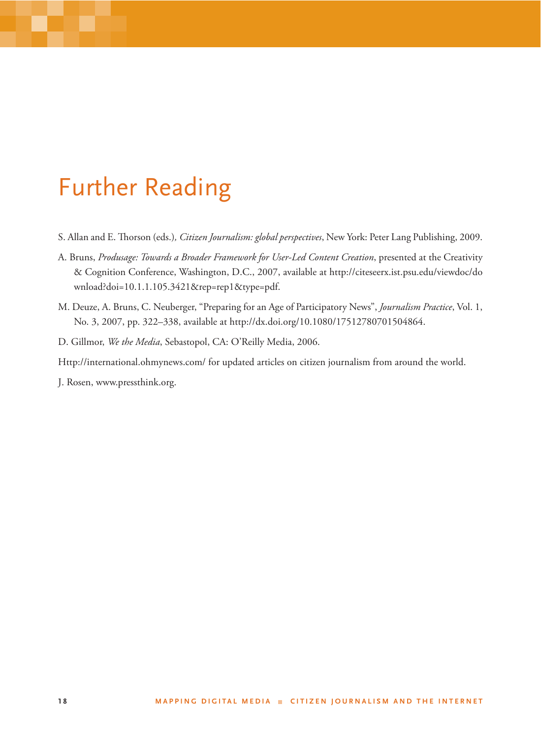### Further Reading

- S. Allan and E. Thorson (eds.), Citizen Journalism: global perspectives, New York: Peter Lang Publishing, 2009.
- A. Bruns, *Produsage: Towards a Broader Framework for User-Led Content Creation*, presented at the Creativity & Cognition Conference, Washington, D.C., 2007, available at http://citeseerx.ist.psu.edu/viewdoc/do wnload?doi=10.1.1.105.3421&rep=rep1&type=pdf.
- M. Deuze, A. Bruns, C. Neuberger, "Preparing for an Age of Participatory News", *Journalism Practice*, Vol. 1, No. 3, 2007, pp. 322–338, available at http://dx.doi.org/10.1080/17512780701504864.
- D. Gillmor, *We the Media*, Sebastopol, CA: O'Reilly Media, 2006.

Http://international.ohmynews.com/ for updated articles on citizen journalism from around the world.

J. Rosen, www.pressthink.org.